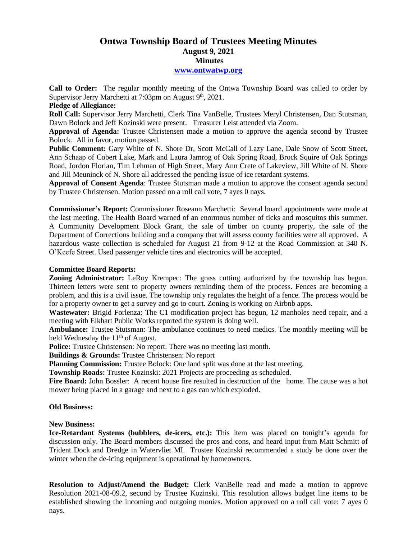# **Ontwa Township Board of Trustees Meeting Minutes August 9, 2021 Minutes**

## **[www.ontwatwp.org](http://www.ontwatwp.org/)**

**Call to Order:** The regular monthly meeting of the Ontwa Township Board was called to order by Supervisor Jerry Marchetti at 7:03pm on August 9<sup>th</sup>, 2021.

## **Pledge of Allegiance:**

**Roll Call:** Supervisor Jerry Marchetti, Clerk Tina VanBelle, Trustees Meryl Christensen, Dan Stutsman, Dawn Bolock and Jeff Kozinski were present. Treasurer Leist attended via Zoom.

**Approval of Agenda:** Trustee Christensen made a motion to approve the agenda second by Trustee Bolock. All in favor, motion passed.

**Public Comment:** Gary White of N. Shore Dr, Scott McCall of Lazy Lane, Dale Snow of Scott Street, Ann Schaap of Cobert Lake, Mark and Laura Jamrog of Oak Spring Road, Brock Squire of Oak Springs Road, Jordon Florian, Tim Lehman of High Street, Mary Ann Crete of Lakeview, Jill White of N. Shore and Jill Meuninck of N. Shore all addressed the pending issue of ice retardant systems.

**Approval of Consent Agenda**: Trustee Stutsman made a motion to approve the consent agenda second by Trustee Christensen. Motion passed on a roll call vote, 7 ayes 0 nays.

**Commissioner's Report:** Commissioner Roseann Marchetti: Several board appointments were made at the last meeting. The Health Board warned of an enormous number of ticks and mosquitos this summer. A Community Development Block Grant, the sale of timber on county property, the sale of the Department of Corrections building and a company that will assess county facilities were all approved. A hazardous waste collection is scheduled for August 21 from 9-12 at the Road Commission at 340 N. O'Keefe Street. Used passenger vehicle tires and electronics will be accepted.

# **Committee Board Reports:**

**Zoning Administrator:** LeRoy Krempec: The grass cutting authorized by the township has begun. Thirteen letters were sent to property owners reminding them of the process. Fences are becoming a problem, and this is a civil issue. The township only regulates the height of a fence. The process would be for a property owner to get a survey and go to court. Zoning is working on Airbnb apps.

**Wastewater:** Brigid Forlenza: The C1 modification project has begun, 12 manholes need repair, and a meeting with Elkhart Public Works reported the system is doing well.

**Ambulance:** Trustee Stutsman: The ambulance continues to need medics. The monthly meeting will be held Wednesday the  $11<sup>th</sup>$  of August.

**Police:** Trustee Christensen: No report. There was no meeting last month.

**Buildings & Grounds:** Trustee Christensen: No report

**Planning Commission:** Trustee Bolock: One land split was done at the last meeting.

**Township Roads:** Trustee Kozinski: 2021 Projects are proceeding as scheduled.

**Fire Board:** John Bossler: A recent house fire resulted in destruction of the home. The cause was a hot mower being placed in a garage and next to a gas can which exploded.

### **Old Business:**

### **New Business:**

**Ice-Retardant Systems (bubblers, de-icers, etc.):** This item was placed on tonight's agenda for discussion only. The Board members discussed the pros and cons, and heard input from Matt Schmitt of Trident Dock and Dredge in Watervliet MI. Trustee Kozinski recommended a study be done over the winter when the de-icing equipment is operational by homeowners.

**Resolution to Adjust/Amend the Budget:** Clerk VanBelle read and made a motion to approve Resolution 2021-08-09.2, second by Trustee Kozinski. This resolution allows budget line items to be established showing the incoming and outgoing monies. Motion approved on a roll call vote: 7 ayes 0 nays.